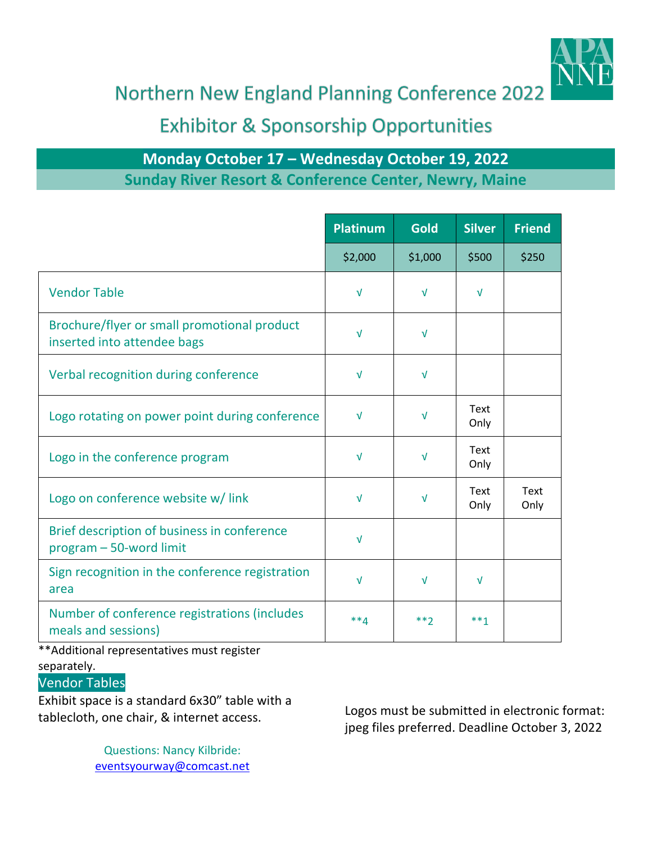

Northern New England Planning Conference 2022

## **Exhibitor & Sponsorship Opportunities**

## **Monday October 17 – Wednesday October 19, 2022 Sunday River Resort & Conference Center, Newry, Maine**

|                                                                            | <b>Platinum</b> | <b>Gold</b> | <b>Silver</b>       | <b>Friend</b> |
|----------------------------------------------------------------------------|-----------------|-------------|---------------------|---------------|
|                                                                            | \$2,000         | \$1,000     | \$500               | \$250         |
| <b>Vendor Table</b>                                                        | $\sqrt{ }$      | $\sqrt{ }$  | $\sqrt{ }$          |               |
| Brochure/flyer or small promotional product<br>inserted into attendee bags | $\sqrt{ }$      | $\sqrt{ }$  |                     |               |
| Verbal recognition during conference                                       | $\sqrt{ }$      | $\sqrt{ }$  |                     |               |
| Logo rotating on power point during conference                             | $\sqrt{ }$      | V           | <b>Text</b><br>Only |               |
| Logo in the conference program                                             | $\sqrt{ }$      | $\sqrt{ }$  | Text<br>Only        |               |
| Logo on conference website w/link                                          | $\sqrt{ }$      | $\sqrt{ }$  | <b>Text</b><br>Only | Text<br>Only  |
| Brief description of business in conference<br>program - 50-word limit     | $\sqrt{ }$      |             |                     |               |
| Sign recognition in the conference registration<br>area                    | $\sqrt{ }$      | $\sqrt{ }$  | $\sqrt{ }$          |               |
| Number of conference registrations (includes<br>meals and sessions)        | $**4$           | $**2$       | $***1$              |               |

\*\*Additional representatives must register separately.

## Vendor Tables

Exhibit space is a standard 6x30" table with a

Questions: Nancy Kilbride: [eventsyourway@comcast.net](mailto:eventsyourway@comcast.net)

tablecloth, one chair, & internet access. Logos must be submitted in electronic format: jpeg files preferred. Deadline October 3, 2022